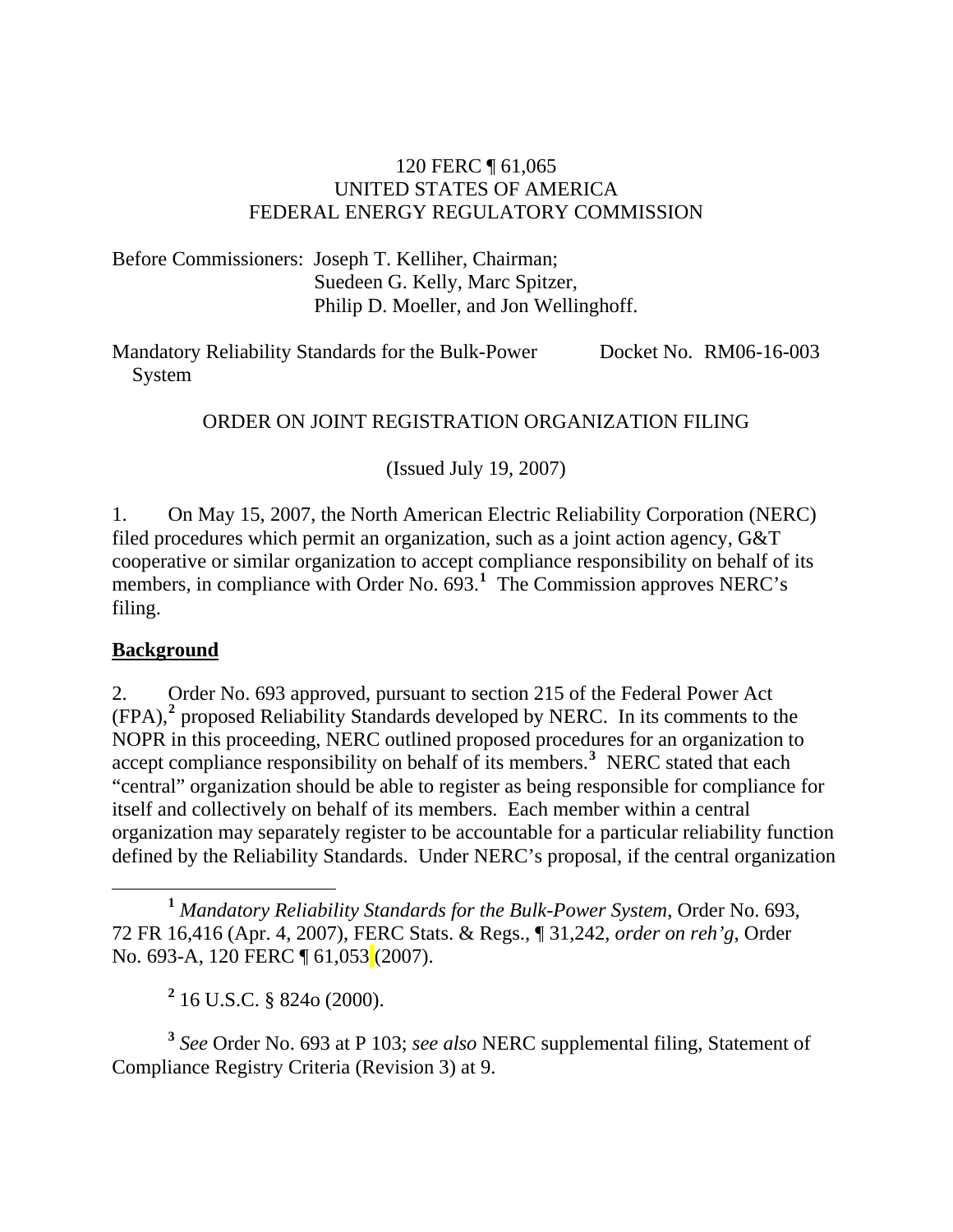### 120 FERC ¶ 61,065 UNITED STATES OF AMERICA FEDERAL ENERGY REGULATORY COMMISSION

Before Commissioners: Joseph T. Kelliher, Chairman; Suedeen G. Kelly, Marc Spitzer, Philip D. Moeller, and Jon Wellinghoff.

Mandatory Reliability Standards for the Bulk-Power System Docket No. RM06-16-003

### ORDER ON JOINT REGISTRATION ORGANIZATION FILING

(Issued July 19, 2007)

1. On May 15, 2007, the North American Electric Reliability Corporation (NERC) filed procedures which permit an organization, such as a joint action agency, G&T cooperative or similar organization to accept compliance responsibility on behalf of its members, in compliance with Order No. 693.<sup>[1](#page-0-0)</sup> The Commission approves NERC's filing.

### **Background**

2. Order No. 693 approved, pursuant to section 215 of the Federal Power Act (FPA),**[2](#page-0-1)** proposed Reliability Standards developed by NERC. In its comments to the NOPR in this proceeding, NERC outlined proposed procedures for an organization to accept compliance responsibility on behalf of its members.**[3](#page-0-2)** NERC stated that each "central" organization should be able to register as being responsible for compliance for itself and collectively on behalf of its members. Each member within a central organization may separately register to be accountable for a particular reliability function defined by the Reliability Standards. Under NERC's proposal, if the central organization

<span id="page-0-2"></span><span id="page-0-1"></span>**<sup>3</sup>** *See* Order No. 693 at P 103; *see also* NERC supplemental filing, Statement of Compliance Registry Criteria (Revision 3) at 9.

<span id="page-0-0"></span>**<sup>1</sup>** *Mandatory Reliability Standards for the Bulk-Power System*, Order No. 693, 72 FR 16,416 (Apr. 4, 2007), FERC Stats. & Regs., ¶ 31,242, *order on reh'g*, Order No. 693-A, 120 FERC ¶ 61,053<sup>(2007)</sup>.

**<sup>2</sup>** 16 U.S.C. § 824o (2000).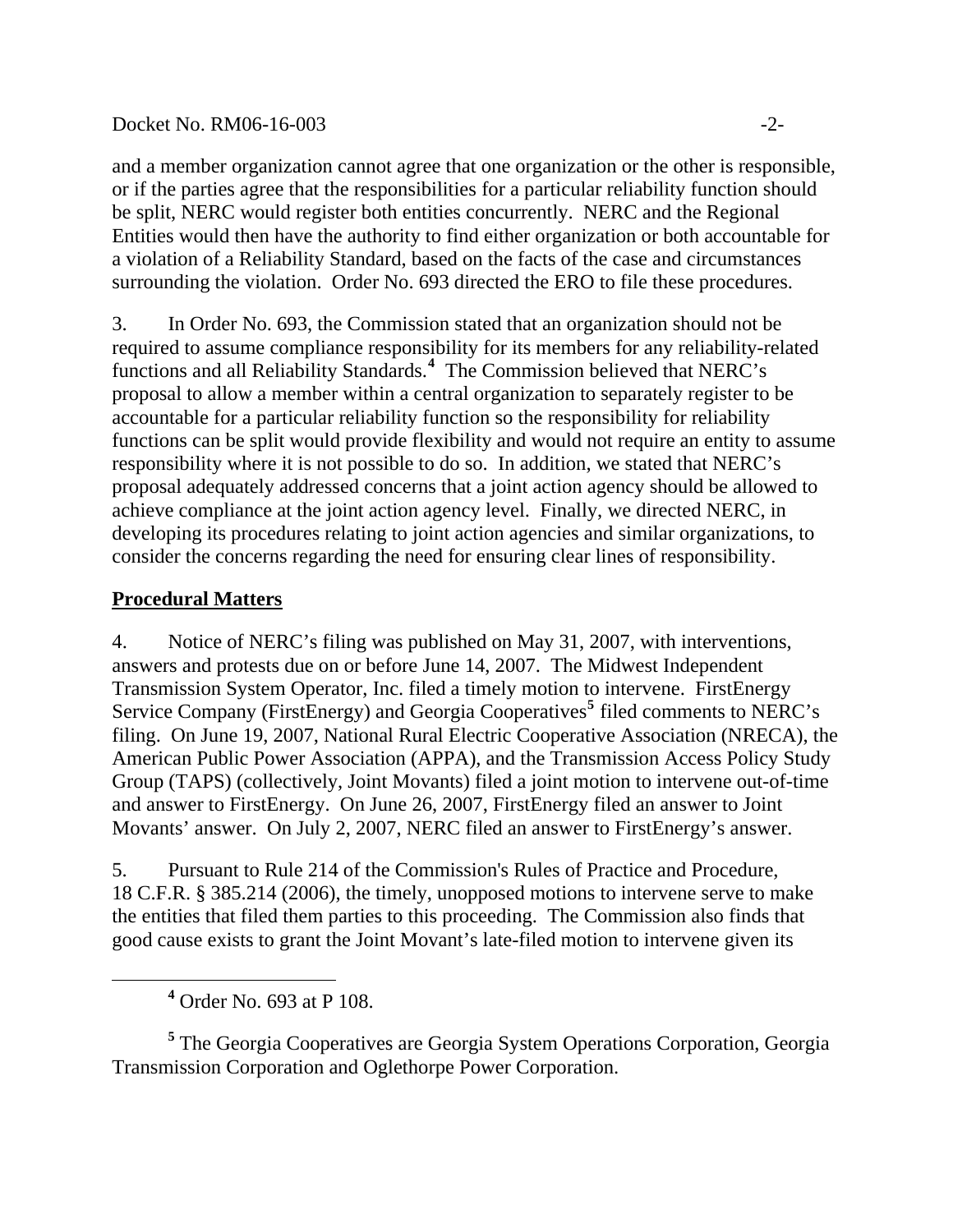#### Docket No. RM06-16-003 -2-

and a member organization cannot agree that one organization or the other is responsible, or if the parties agree that the responsibilities for a particular reliability function should be split, NERC would register both entities concurrently. NERC and the Regional Entities would then have the authority to find either organization or both accountable for a violation of a Reliability Standard, based on the facts of the case and circumstances surrounding the violation. Order No. 693 directed the ERO to file these procedures.

3. In Order No. 693, the Commission stated that an organization should not be required to assume compliance responsibility for its members for any reliability-related functions and all Reliability Standards.**[4](#page-1-0)** The Commission believed that NERC's proposal to allow a member within a central organization to separately register to be accountable for a particular reliability function so the responsibility for reliability functions can be split would provide flexibility and would not require an entity to assume responsibility where it is not possible to do so. In addition, we stated that NERC's proposal adequately addressed concerns that a joint action agency should be allowed to achieve compliance at the joint action agency level. Finally, we directed NERC, in developing its procedures relating to joint action agencies and similar organizations, to consider the concerns regarding the need for ensuring clear lines of responsibility.

## **Procedural Matters**

4. Notice of NERC's filing was published on May 31, 2007, with interventions, answers and protests due on or before June 14, 2007. The Midwest Independent Transmission System Operator, Inc. filed a timely motion to intervene. FirstEnergy Service Company (FirstEnergy) and Georgia Cooperatives**[5](#page-1-1)** filed comments to NERC's filing. On June 19, 2007, National Rural Electric Cooperative Association (NRECA), the American Public Power Association (APPA), and the Transmission Access Policy Study Group (TAPS) (collectively, Joint Movants) filed a joint motion to intervene out-of-time and answer to FirstEnergy. On June 26, 2007, FirstEnergy filed an answer to Joint Movants' answer. On July 2, 2007, NERC filed an answer to FirstEnergy's answer.

5. Pursuant to Rule 214 of the Commission's Rules of Practice and Procedure, 18 C.F.R. § 385.214 (2006), the timely, unopposed motions to intervene serve to make the entities that filed them parties to this proceeding. The Commission also finds that good cause exists to grant the Joint Movant's late-filed motion to intervene given its

<span id="page-1-1"></span><sup>5</sup> The Georgia Cooperatives are Georgia System Operations Corporation, Georgia Transmission Corporation and Oglethorpe Power Corporation.

<span id="page-1-0"></span>**<sup>4</sup>** Order No. 693 at P 108.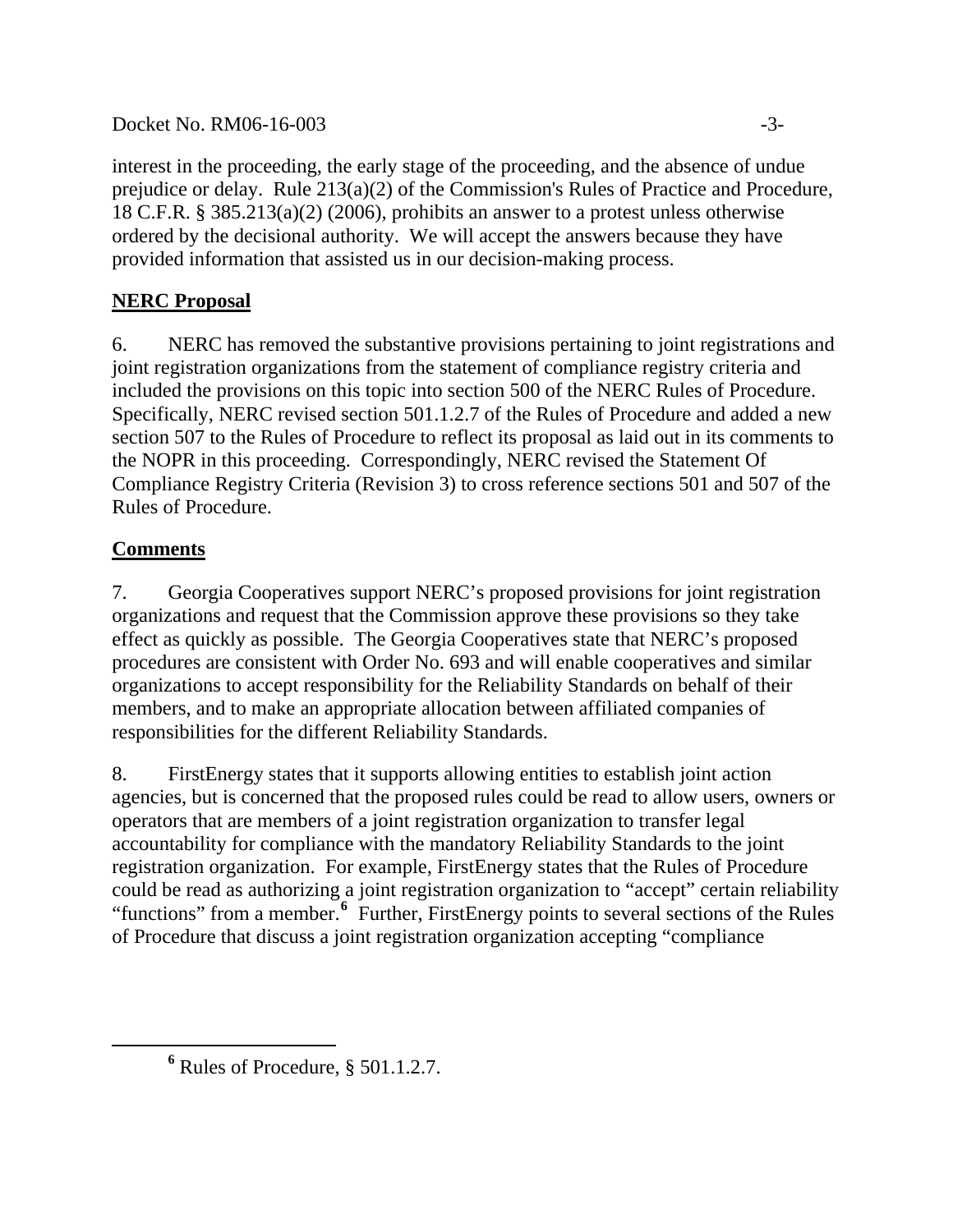Docket No. RM06-16-003 -3-

interest in the proceeding, the early stage of the proceeding, and the absence of undue prejudice or delay. Rule 213(a)(2) of the Commission's Rules of Practice and Procedure, 18 C.F.R. § 385.213(a)(2) (2006), prohibits an answer to a protest unless otherwise ordered by the decisional authority. We will accept the answers because they have provided information that assisted us in our decision-making process.

# **NERC Proposal**

6. NERC has removed the substantive provisions pertaining to joint registrations and joint registration organizations from the statement of compliance registry criteria and included the provisions on this topic into section 500 of the NERC Rules of Procedure. Specifically, NERC revised section 501.1.2.7 of the Rules of Procedure and added a new section 507 to the Rules of Procedure to reflect its proposal as laid out in its comments to the NOPR in this proceeding. Correspondingly, NERC revised the Statement Of Compliance Registry Criteria (Revision 3) to cross reference sections 501 and 507 of the Rules of Procedure.

## **Comments**

7. Georgia Cooperatives support NERC's proposed provisions for joint registration organizations and request that the Commission approve these provisions so they take effect as quickly as possible. The Georgia Cooperatives state that NERC's proposed procedures are consistent with Order No. 693 and will enable cooperatives and similar organizations to accept responsibility for the Reliability Standards on behalf of their members, and to make an appropriate allocation between affiliated companies of responsibilities for the different Reliability Standards.

8. FirstEnergy states that it supports allowing entities to establish joint action agencies, but is concerned that the proposed rules could be read to allow users, owners or operators that are members of a joint registration organization to transfer legal accountability for compliance with the mandatory Reliability Standards to the joint registration organization. For example, FirstEnergy states that the Rules of Procedure could be read as authorizing a joint registration organization to "accept" certain reliability "functions" from a member.<sup>[6](#page-2-0)</sup> Further, FirstEnergy points to several sections of the Rules of Procedure that discuss a joint registration organization accepting "compliance

<span id="page-2-0"></span>**<sup>6</sup>** Rules of Procedure, § 501.1.2.7.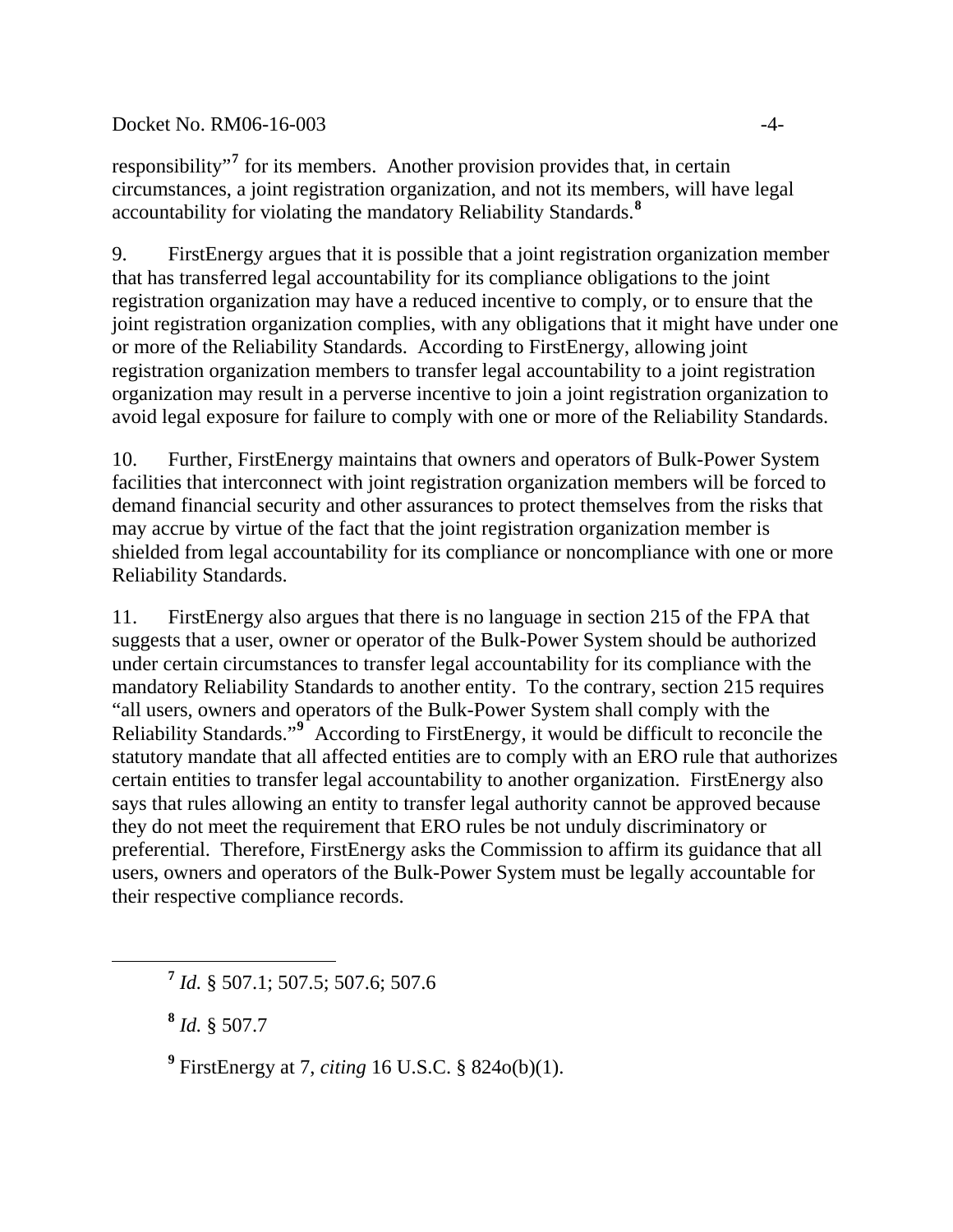#### Docket No. RM06-16-003 -4-

responsibility"**[7](#page-3-0)** for its members. Another provision provides that, in certain circumstances, a joint registration organization, and not its members, will have legal accountability for violating the mandatory Reliability Standards.**[8](#page-3-1)**

9. FirstEnergy argues that it is possible that a joint registration organization member that has transferred legal accountability for its compliance obligations to the joint registration organization may have a reduced incentive to comply, or to ensure that the joint registration organization complies, with any obligations that it might have under one or more of the Reliability Standards. According to FirstEnergy, allowing joint registration organization members to transfer legal accountability to a joint registration organization may result in a perverse incentive to join a joint registration organization to avoid legal exposure for failure to comply with one or more of the Reliability Standards.

10. Further, FirstEnergy maintains that owners and operators of Bulk-Power System facilities that interconnect with joint registration organization members will be forced to demand financial security and other assurances to protect themselves from the risks that may accrue by virtue of the fact that the joint registration organization member is shielded from legal accountability for its compliance or noncompliance with one or more Reliability Standards.

11. FirstEnergy also argues that there is no language in section 215 of the FPA that suggests that a user, owner or operator of the Bulk-Power System should be authorized under certain circumstances to transfer legal accountability for its compliance with the mandatory Reliability Standards to another entity. To the contrary, section 215 requires "all users, owners and operators of the Bulk-Power System shall comply with the Reliability Standards."**[9](#page-3-2)** According to FirstEnergy, it would be difficult to reconcile the statutory mandate that all affected entities are to comply with an ERO rule that authorizes certain entities to transfer legal accountability to another organization. FirstEnergy also says that rules allowing an entity to transfer legal authority cannot be approved because they do not meet the requirement that ERO rules be not unduly discriminatory or preferential. Therefore, FirstEnergy asks the Commission to affirm its guidance that all users, owners and operators of the Bulk-Power System must be legally accountable for their respective compliance records.

**<sup>8</sup>** *Id.* § 507.7

<span id="page-3-2"></span><span id="page-3-1"></span><span id="page-3-0"></span> $\overline{a}$ 

**9** FirstEnergy at 7, *citing* 16 U.S.C. § 824o(b)(1).

**<sup>7</sup>** *Id.* § 507.1; 507.5; 507.6; 507.6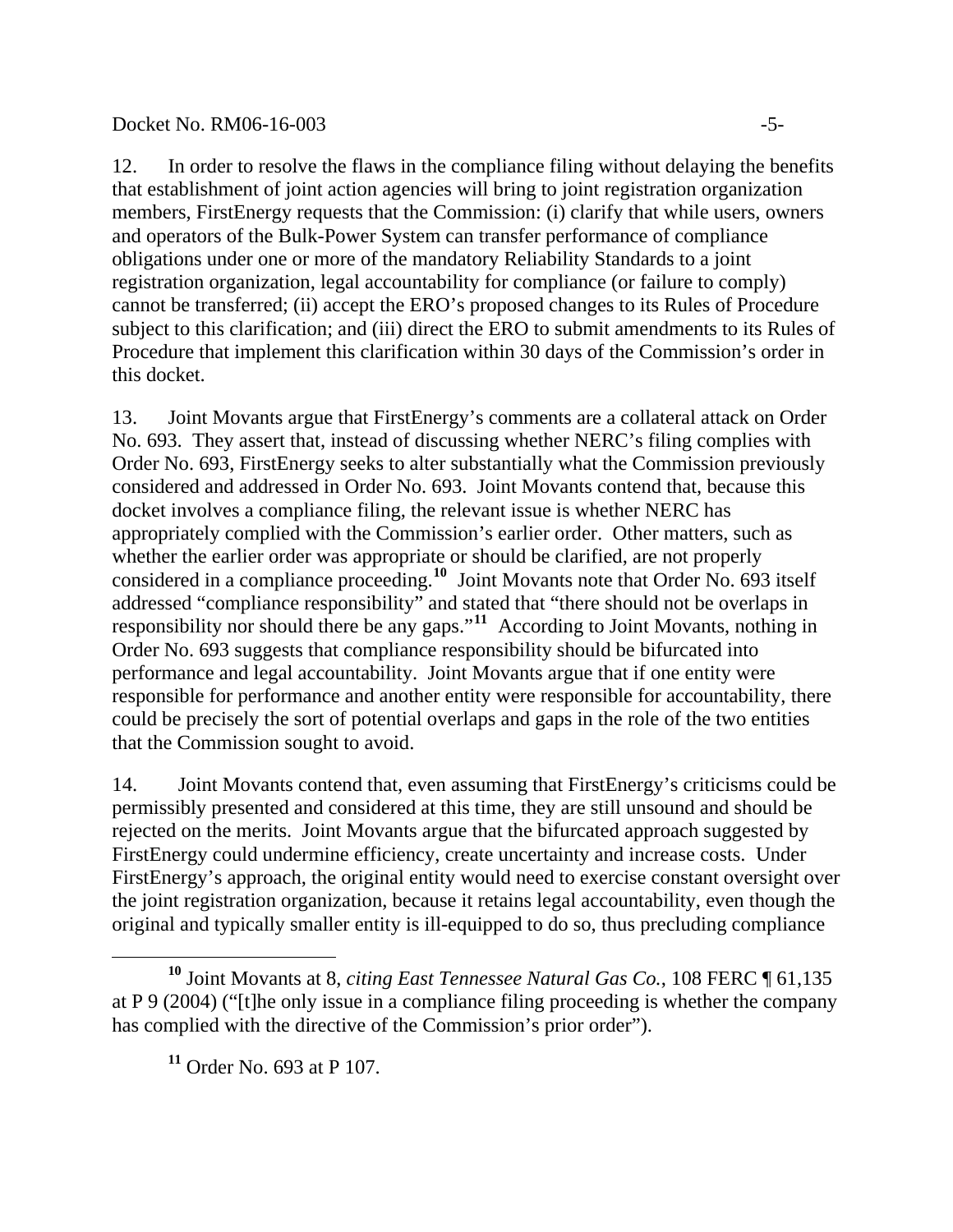#### Docket No. RM06-16-003 -5-

12. In order to resolve the flaws in the compliance filing without delaying the benefits that establishment of joint action agencies will bring to joint registration organization members, FirstEnergy requests that the Commission: (i) clarify that while users, owners and operators of the Bulk-Power System can transfer performance of compliance obligations under one or more of the mandatory Reliability Standards to a joint registration organization, legal accountability for compliance (or failure to comply) cannot be transferred; (ii) accept the ERO's proposed changes to its Rules of Procedure subject to this clarification; and (iii) direct the ERO to submit amendments to its Rules of Procedure that implement this clarification within 30 days of the Commission's order in this docket.

13. Joint Movants argue that FirstEnergy's comments are a collateral attack on Order No. 693. They assert that, instead of discussing whether NERC's filing complies with Order No. 693, FirstEnergy seeks to alter substantially what the Commission previously considered and addressed in Order No. 693. Joint Movants contend that, because this docket involves a compliance filing, the relevant issue is whether NERC has appropriately complied with the Commission's earlier order. Other matters, such as whether the earlier order was appropriate or should be clarified, are not properly considered in a compliance proceeding.<sup>[10](#page-4-0)</sup> Joint Movants note that Order No. 693 itself addressed "compliance responsibility" and stated that "there should not be overlaps in responsibility nor should there be any gaps."**[11](#page-4-1)** According to Joint Movants, nothing in Order No. 693 suggests that compliance responsibility should be bifurcated into performance and legal accountability. Joint Movants argue that if one entity were responsible for performance and another entity were responsible for accountability, there could be precisely the sort of potential overlaps and gaps in the role of the two entities that the Commission sought to avoid.

14. Joint Movants contend that, even assuming that FirstEnergy's criticisms could be permissibly presented and considered at this time, they are still unsound and should be rejected on the merits. Joint Movants argue that the bifurcated approach suggested by FirstEnergy could undermine efficiency, create uncertainty and increase costs. Under FirstEnergy's approach, the original entity would need to exercise constant oversight over the joint registration organization, because it retains legal accountability, even though the original and typically smaller entity is ill-equipped to do so, thus precluding compliance

<span id="page-4-1"></span><span id="page-4-0"></span> $\overline{a}$ **<sup>10</sup>** Joint Movants at 8, *citing East Tennessee Natural Gas Co.*, 108 FERC ¶ 61,135 at P 9 (2004) ("[t]he only issue in a compliance filing proceeding is whether the company has complied with the directive of the Commission's prior order").

**<sup>11</sup>** Order No. 693 at P 107.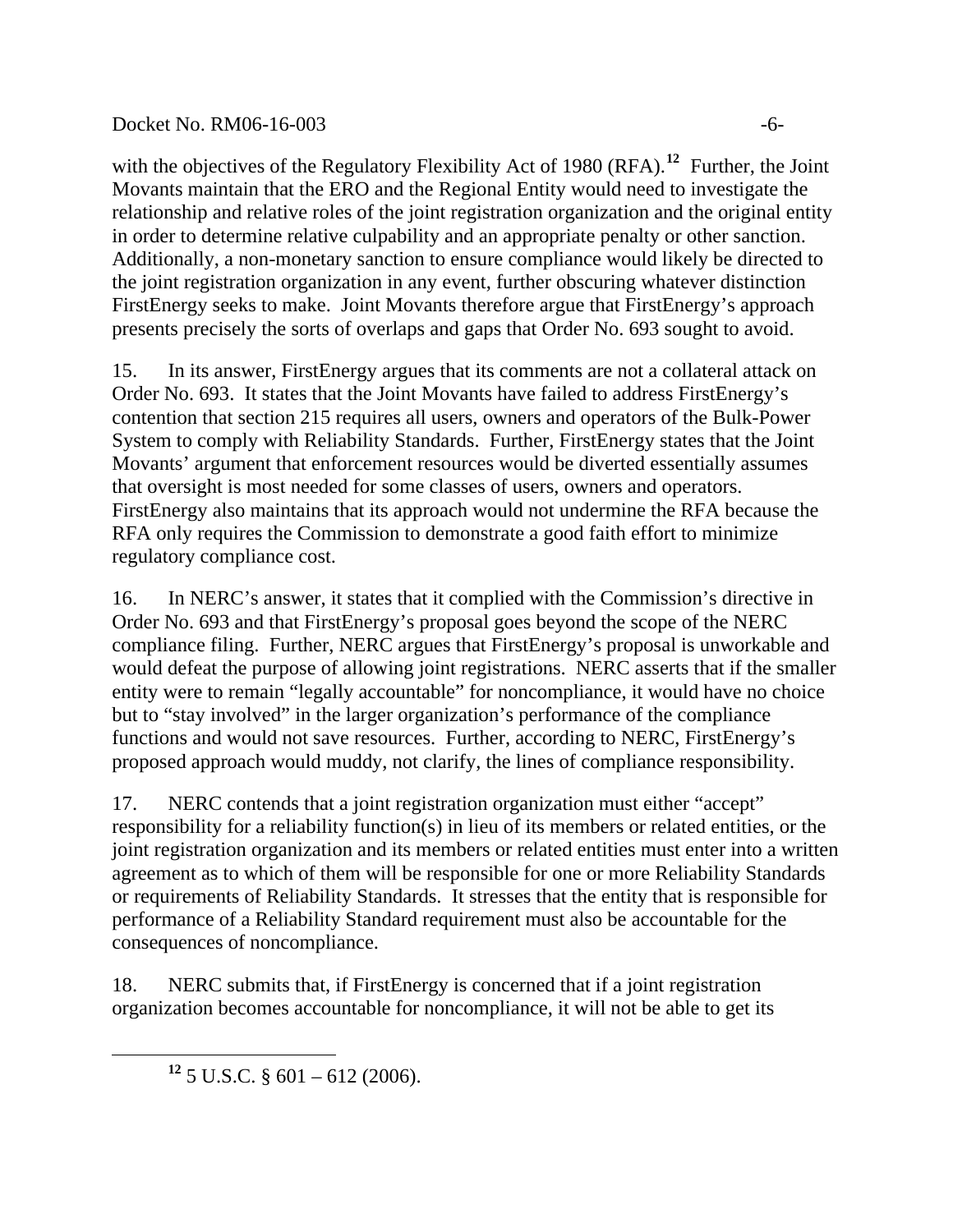#### Docket No. RM06-16-003 -6-

with the objectives of the Regulatory Flexibility Act of 1980 (RFA).<sup>[12](#page-5-0)</sup> Further, the Joint Movants maintain that the ERO and the Regional Entity would need to investigate the relationship and relative roles of the joint registration organization and the original entity in order to determine relative culpability and an appropriate penalty or other sanction. Additionally, a non-monetary sanction to ensure compliance would likely be directed to the joint registration organization in any event, further obscuring whatever distinction FirstEnergy seeks to make. Joint Movants therefore argue that FirstEnergy's approach presents precisely the sorts of overlaps and gaps that Order No. 693 sought to avoid.

15. In its answer, FirstEnergy argues that its comments are not a collateral attack on Order No. 693. It states that the Joint Movants have failed to address FirstEnergy's contention that section 215 requires all users, owners and operators of the Bulk-Power System to comply with Reliability Standards. Further, FirstEnergy states that the Joint Movants' argument that enforcement resources would be diverted essentially assumes that oversight is most needed for some classes of users, owners and operators. FirstEnergy also maintains that its approach would not undermine the RFA because the RFA only requires the Commission to demonstrate a good faith effort to minimize regulatory compliance cost.

16. In NERC's answer, it states that it complied with the Commission's directive in Order No. 693 and that FirstEnergy's proposal goes beyond the scope of the NERC compliance filing. Further, NERC argues that FirstEnergy's proposal is unworkable and would defeat the purpose of allowing joint registrations. NERC asserts that if the smaller entity were to remain "legally accountable" for noncompliance, it would have no choice but to "stay involved" in the larger organization's performance of the compliance functions and would not save resources. Further, according to NERC, FirstEnergy's proposed approach would muddy, not clarify, the lines of compliance responsibility.

17. NERC contends that a joint registration organization must either "accept" responsibility for a reliability function(s) in lieu of its members or related entities, or the joint registration organization and its members or related entities must enter into a written agreement as to which of them will be responsible for one or more Reliability Standards or requirements of Reliability Standards. It stresses that the entity that is responsible for performance of a Reliability Standard requirement must also be accountable for the consequences of noncompliance.

18. NERC submits that, if FirstEnergy is concerned that if a joint registration organization becomes accountable for noncompliance, it will not be able to get its

<span id="page-5-0"></span>

**<sup>12</sup>** 5 U.S.C. § 601 – 612 (2006).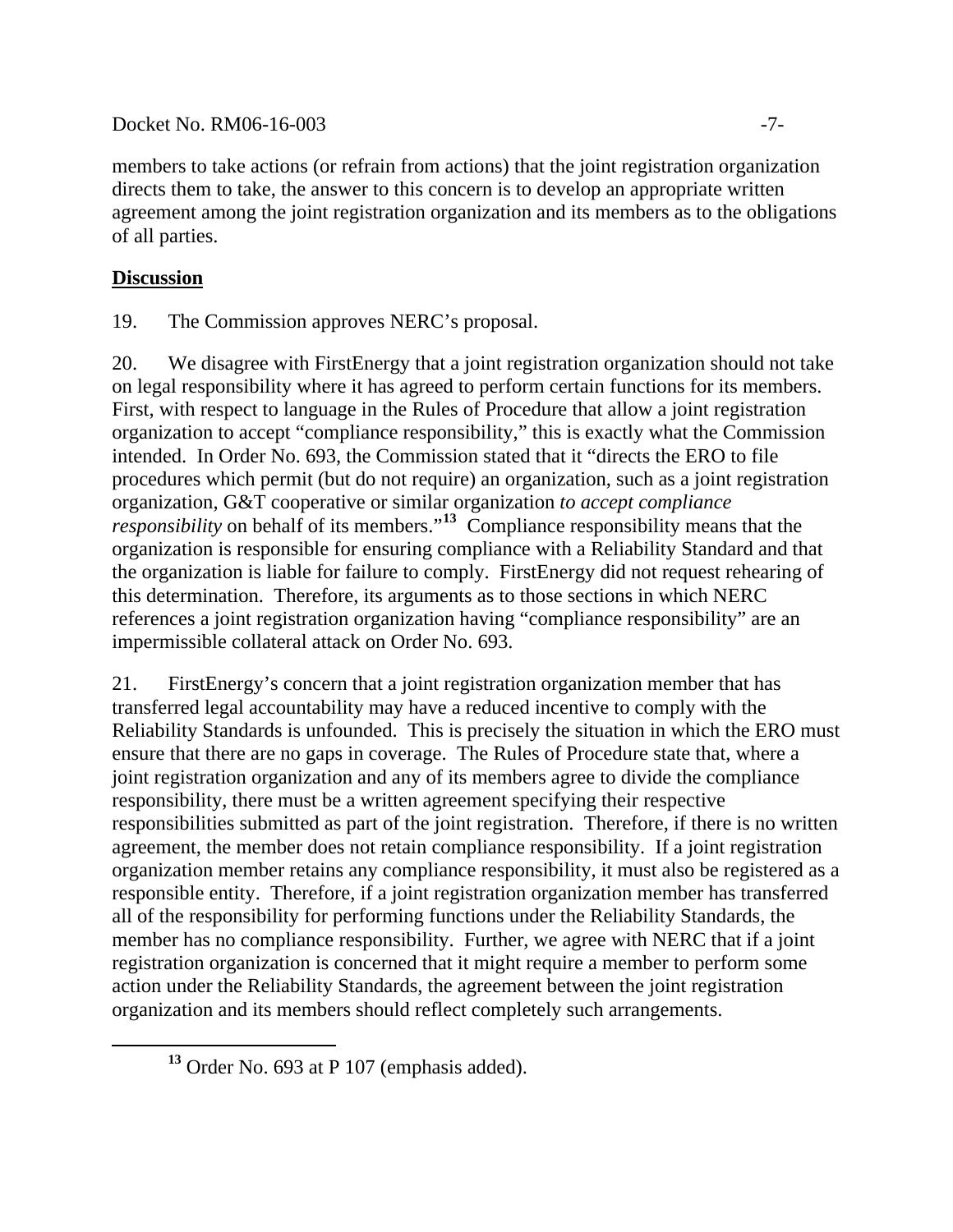#### Docket No. RM06-16-003 -7-

members to take actions (or refrain from actions) that the joint registration organization directs them to take, the answer to this concern is to develop an appropriate written agreement among the joint registration organization and its members as to the obligations of all parties.

## **Discussion**

19. The Commission approves NERC's proposal.

20. We disagree with FirstEnergy that a joint registration organization should not take on legal responsibility where it has agreed to perform certain functions for its members. First, with respect to language in the Rules of Procedure that allow a joint registration organization to accept "compliance responsibility," this is exactly what the Commission intended. In Order No. 693, the Commission stated that it "directs the ERO to file procedures which permit (but do not require) an organization, such as a joint registration organization, G&T cooperative or similar organization *to accept compliance responsibility* on behalf of its members."<sup>[13](#page-6-0)</sup> Compliance responsibility means that the organization is responsible for ensuring compliance with a Reliability Standard and that the organization is liable for failure to comply. FirstEnergy did not request rehearing of this determination. Therefore, its arguments as to those sections in which NERC references a joint registration organization having "compliance responsibility" are an impermissible collateral attack on Order No. 693.

21. FirstEnergy's concern that a joint registration organization member that has transferred legal accountability may have a reduced incentive to comply with the Reliability Standards is unfounded. This is precisely the situation in which the ERO must ensure that there are no gaps in coverage. The Rules of Procedure state that, where a joint registration organization and any of its members agree to divide the compliance responsibility, there must be a written agreement specifying their respective responsibilities submitted as part of the joint registration. Therefore, if there is no written agreement, the member does not retain compliance responsibility. If a joint registration organization member retains any compliance responsibility, it must also be registered as a responsible entity. Therefore, if a joint registration organization member has transferred all of the responsibility for performing functions under the Reliability Standards, the member has no compliance responsibility. Further, we agree with NERC that if a joint registration organization is concerned that it might require a member to perform some action under the Reliability Standards, the agreement between the joint registration organization and its members should reflect completely such arrangements.

<span id="page-6-0"></span>**<sup>13</sup>** Order No. 693 at P 107 (emphasis added).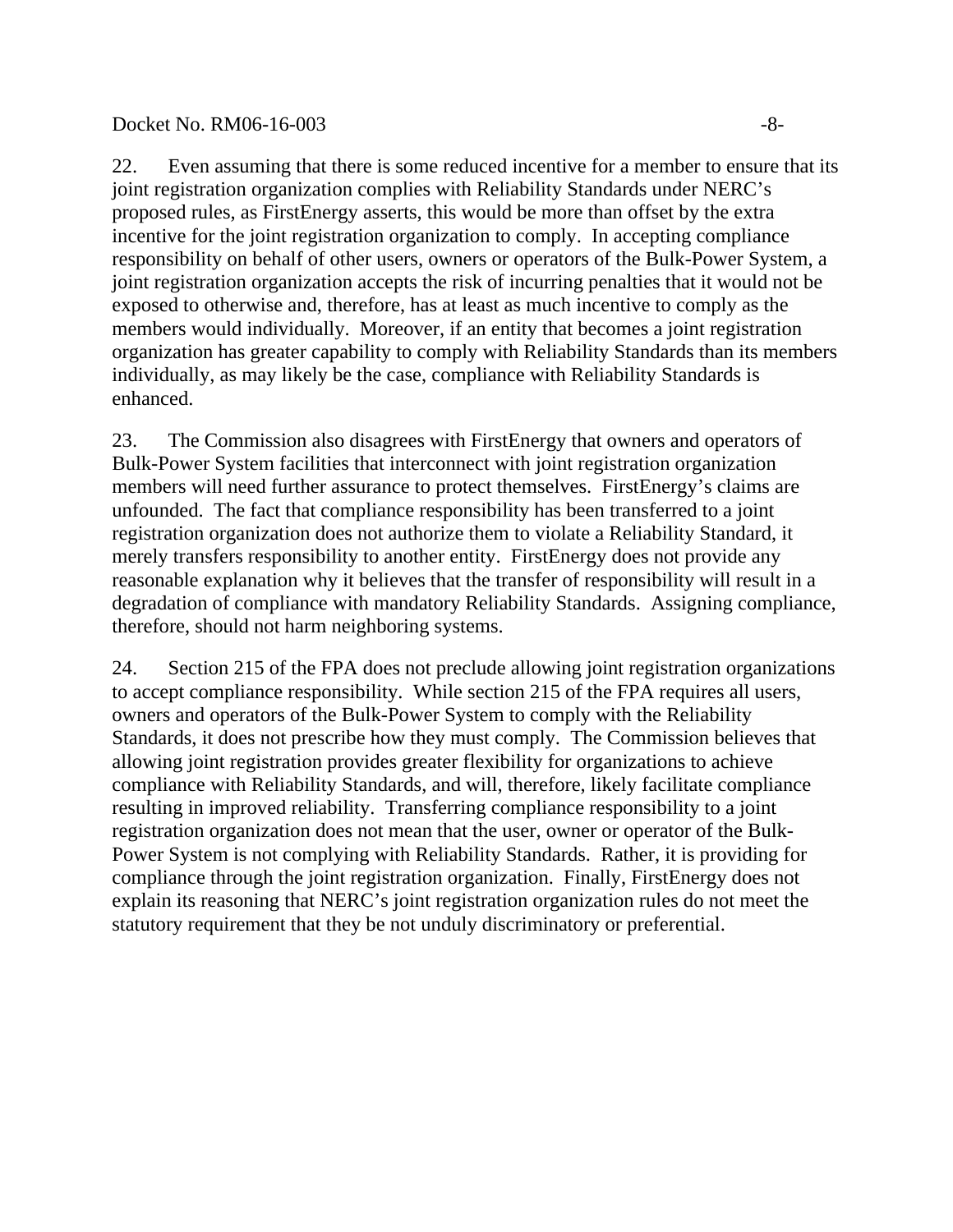#### Docket No. RM06-16-003 -8-

22. Even assuming that there is some reduced incentive for a member to ensure that its joint registration organization complies with Reliability Standards under NERC's proposed rules, as FirstEnergy asserts, this would be more than offset by the extra incentive for the joint registration organization to comply. In accepting compliance responsibility on behalf of other users, owners or operators of the Bulk-Power System, a joint registration organization accepts the risk of incurring penalties that it would not be exposed to otherwise and, therefore, has at least as much incentive to comply as the members would individually. Moreover, if an entity that becomes a joint registration organization has greater capability to comply with Reliability Standards than its members individually, as may likely be the case, compliance with Reliability Standards is enhanced.

23. The Commission also disagrees with FirstEnergy that owners and operators of Bulk-Power System facilities that interconnect with joint registration organization members will need further assurance to protect themselves. FirstEnergy's claims are unfounded. The fact that compliance responsibility has been transferred to a joint registration organization does not authorize them to violate a Reliability Standard, it merely transfers responsibility to another entity. FirstEnergy does not provide any reasonable explanation why it believes that the transfer of responsibility will result in a degradation of compliance with mandatory Reliability Standards. Assigning compliance, therefore, should not harm neighboring systems.

24. Section 215 of the FPA does not preclude allowing joint registration organizations to accept compliance responsibility. While section 215 of the FPA requires all users, owners and operators of the Bulk-Power System to comply with the Reliability Standards, it does not prescribe how they must comply. The Commission believes that allowing joint registration provides greater flexibility for organizations to achieve compliance with Reliability Standards, and will, therefore, likely facilitate compliance resulting in improved reliability. Transferring compliance responsibility to a joint registration organization does not mean that the user, owner or operator of the Bulk-Power System is not complying with Reliability Standards. Rather, it is providing for compliance through the joint registration organization. Finally, FirstEnergy does not explain its reasoning that NERC's joint registration organization rules do not meet the statutory requirement that they be not unduly discriminatory or preferential.